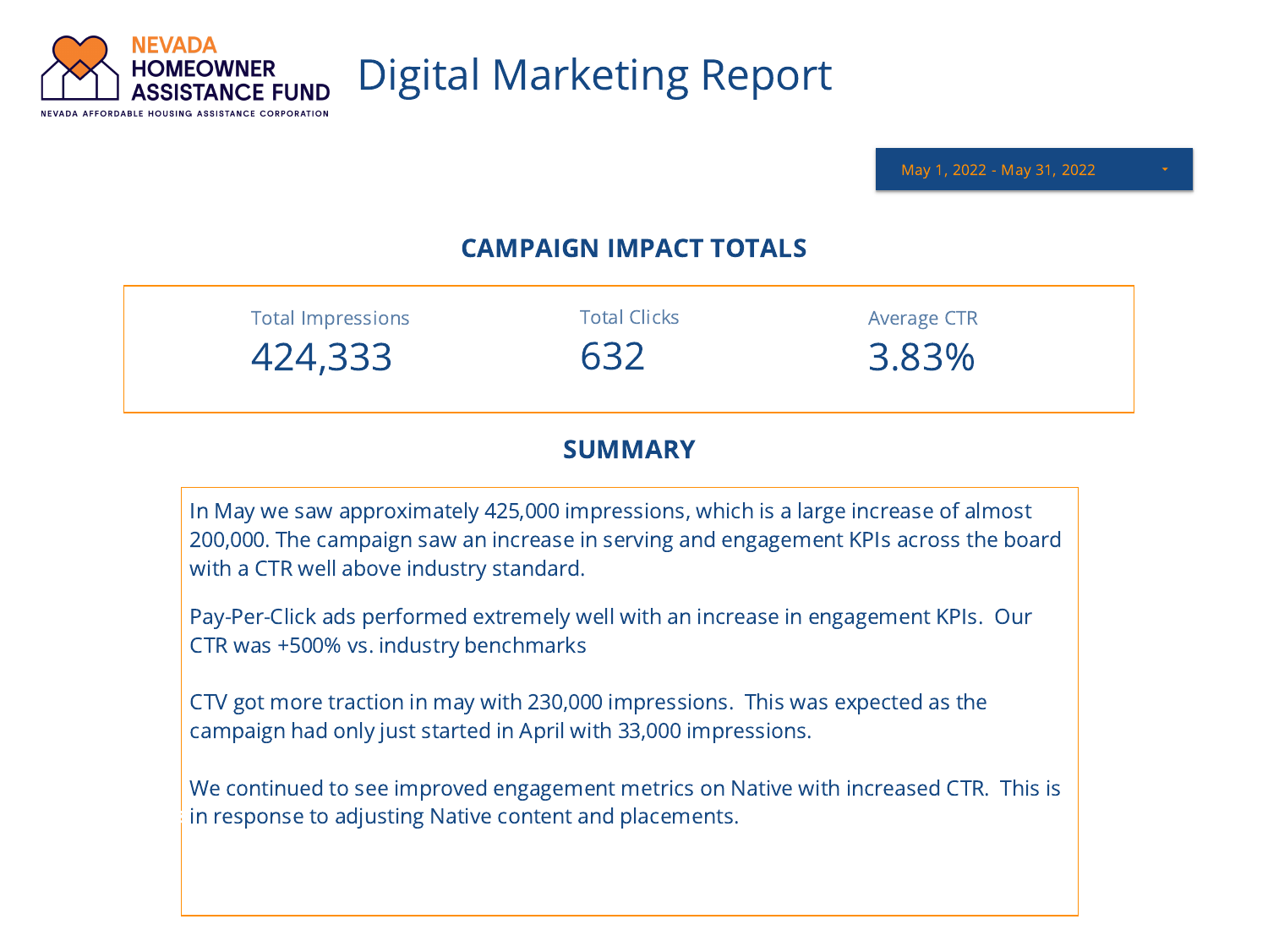

Clicks

## Digital Marketing Report

May 1, 2022 - May 31, 2022

## CAMPAIGN IMPACT TOTALS

| <b>Total Impressions</b> | <b>Total Clicks</b> | Average CTR |  |
|--------------------------|---------------------|-------------|--|
| 424,333                  | 632                 | 3.83%       |  |

## **SUMMARY**

In May we saw approximately 425,000 impressions, which is a large increase of almost 200,000. The campaign saw an increase in serving and engagement KPIs across the board with a CTR well above industry standard.

Pay-Per-Click ads performed extremely well with an increase in engagement KPIs. Our CTR was +500% vs. industry benchmarks

CTV got more traction in may with 230,000 impressions. This was expected as the campaign had only just started in April with 33,000 impressions.

We continued to see improved engagement metrics on Native with increased CTR. This is in response to adjusting Native content and placements. Impressions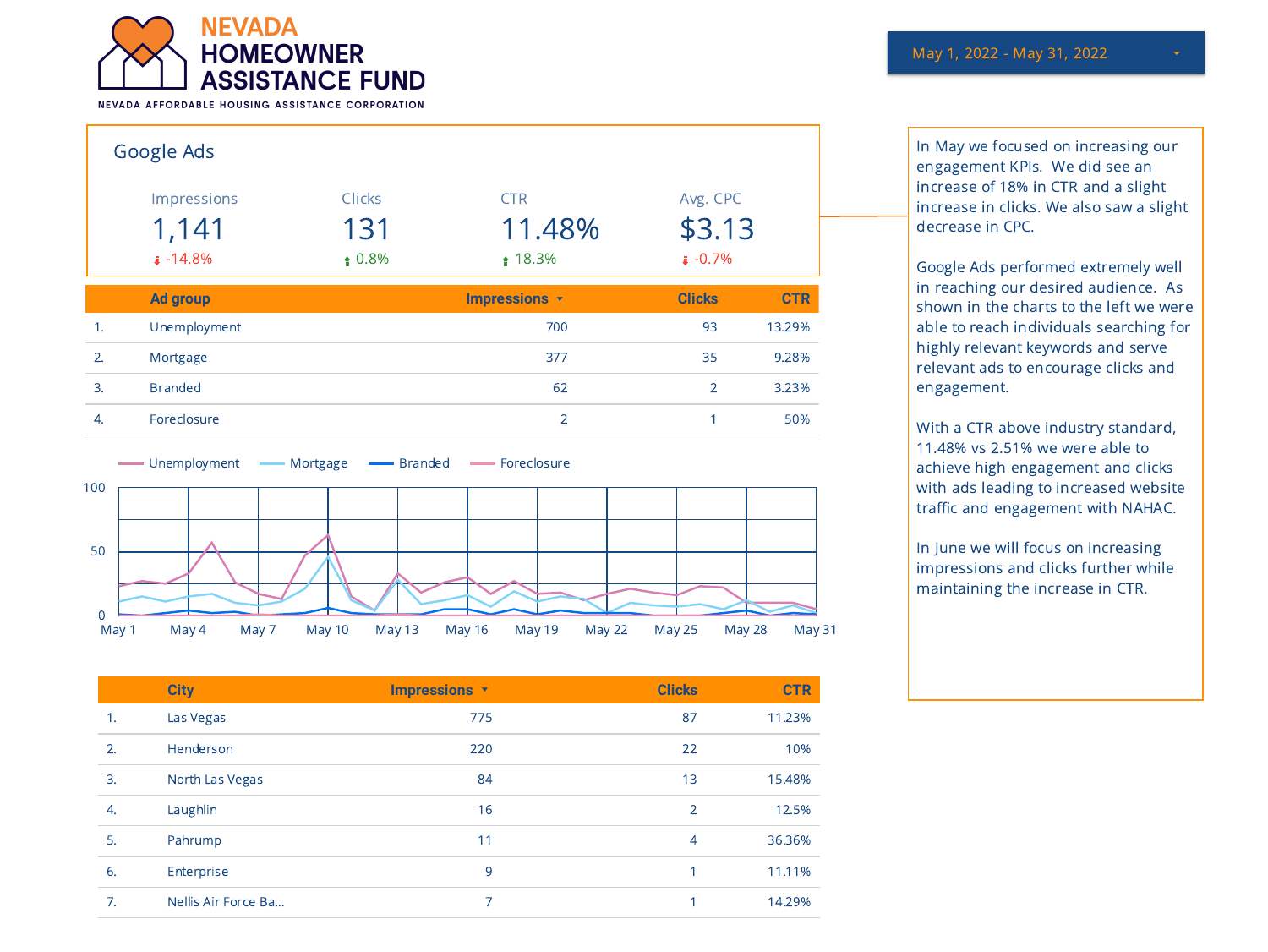

NEVADA AFFORDABLE HOUSING ASSISTANCE CORPORATION

|    | Google Ads      |               |               |                |            |
|----|-----------------|---------------|---------------|----------------|------------|
|    | Impressions     | <b>Clicks</b> | <b>CTR</b>    | Avg. CPC       |            |
|    | 1,141           | 131           | 11.48%        | \$3.13         |            |
|    | $\sqrt{4.8\%}$  | $\pm 0.8\%$   | ₫ 18.3%       | $1 - 0.7\%$    |            |
|    | <b>Ad group</b> |               | Impressions v | <b>Clicks</b>  | <b>CTR</b> |
|    |                 |               |               |                |            |
| 1. | Unemployment    |               | 700           | 93             | 13.29%     |
| 2. | Mortgage        |               | 377           | 35             | 9.28%      |
| 3. | <b>Branded</b>  |               | 62            | $\overline{2}$ | 3.23%      |



| <b>CTR</b> |
|------------|
| 11.23%     |
| 10%        |
| 15.48%     |
| 12.5%      |
| 36.36%     |
| 11.11%     |
| 14.29%     |
|            |

In May we focused on increasing our engagement KPIs. We did see an increase of 18% in CTR and a slight increase in clicks. We also saw a slight decrease in CPC.

Google Ads performed extremely well in reaching our desired audience. As shown in the charts to the left we were able to reach individuals searching for highly relevant keywords and serve relevant ads to encourage clicks and engagement.

With a CTR above industry standard, 11.48% vs 2.51% we were able to achieve high engagement and clicks with ads leading to increased website traffic and engagement with NAHAC.

In June we will focus on increasing impressions and clicks further while maintaining the increase in CTR.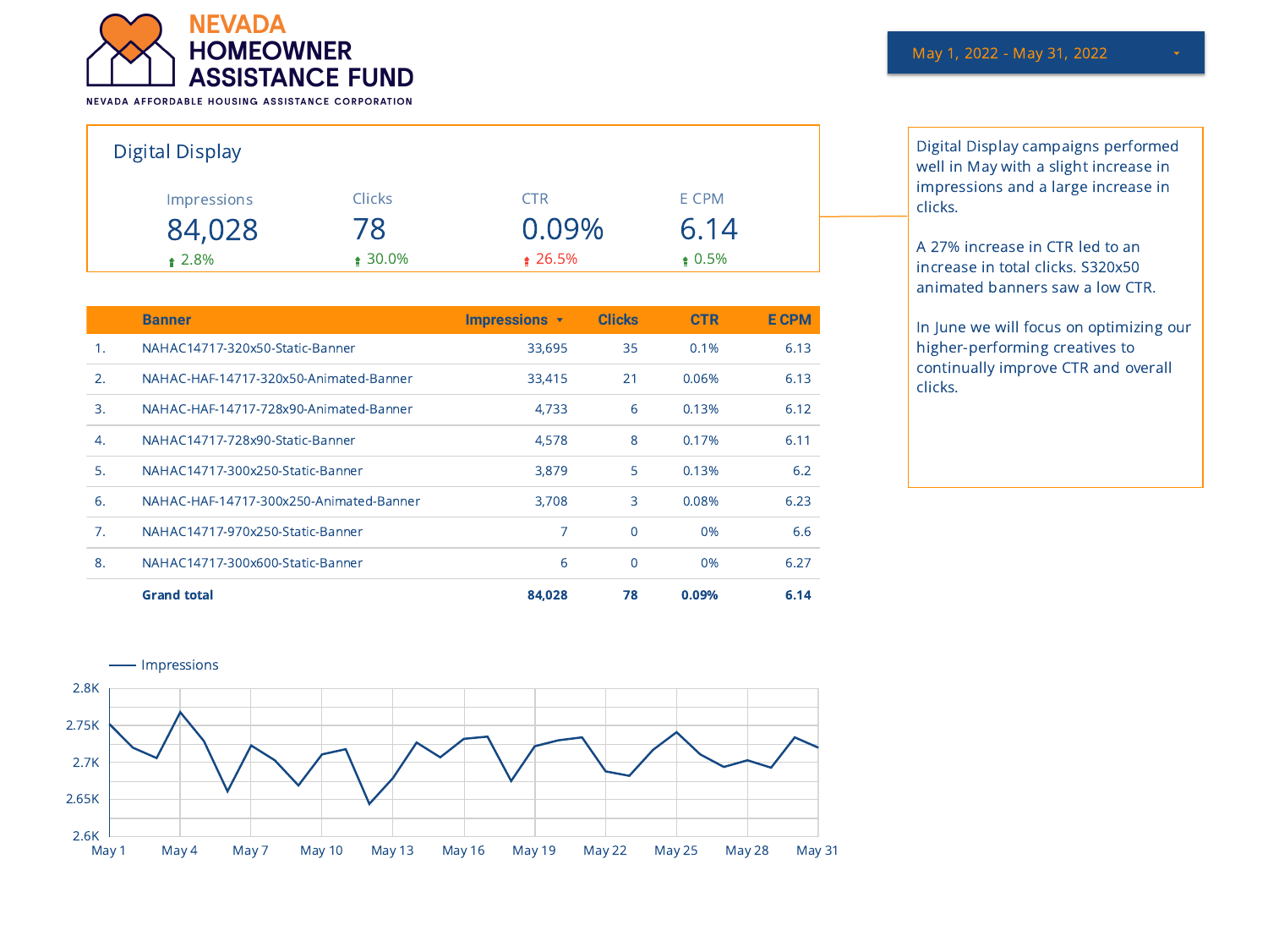

NEVADA AFFORDABLE HOUSING ASSISTANCE CORPORATION

| <b>Digital Display</b> |               |              |             |
|------------------------|---------------|--------------|-------------|
| <b>Impressions</b>     | <b>Clicks</b> | CTR.         | E CPM       |
| 84,028                 | 78            | 0.09%        | 6.14        |
| $\pm 2.8\%$            | $\pm 30.0\%$  | $\pm 26.5\%$ | $\pm 0.5\%$ |

|                 | <b>Banner</b>                           | <b>Impressions v</b> | <b>Clicks</b> | <b>CTR</b> | <b>E CPM</b> |
|-----------------|-----------------------------------------|----------------------|---------------|------------|--------------|
| $\mathbf{1}$ .  | NAHAC14717-320x50-Static-Banner         | 33,695               | 35            | 0.1%       | 6.13         |
| 2.              | NAHAC-HAF-14717-320x50-Animated-Banner  | 33,415               | 21            | 0.06%      | 6.13         |
| $\mathbf{3}$ .  | NAHAC-HAF-14717-728x90-Animated-Banner  | 4,733                | 6             | 0.13%      | 6.12         |
| $\mathcal{A}$ . | NAHAC14717-728x90-Static-Banner         | 4,578                | 8             | 0.17%      | 6.11         |
| 5.              | NAHAC14717-300x250-Static-Banner        | 3,879                | 5             | 0.13%      | 6.2          |
| 6.              | NAHAC-HAF-14717-300x250-Animated-Banner | 3,708                | 3             | 0.08%      | 6.23         |
| 7 <sub>1</sub>  | NAHAC14717-970x250-Static-Banner        | 7                    | $\Omega$      | 0%         | 6.6          |
| 8.              | NAHAC14717-300x600-Static-Banner        | 6                    | $\Omega$      | 0%         | 6.27         |
|                 | <b>Grand total</b>                      | 84,028               | 78            | $0.09\%$   | 6.14         |

Digital Display campaigns performed well in May with a slight increase in impressions and a large increase in clicks.

A 27% increase in CTR led to an increase in total clicks. S320x50 animated banners saw a low CTR.

In June we will focus on optimizing our higher-performing creatives to continually improve CTR and overall clicks.

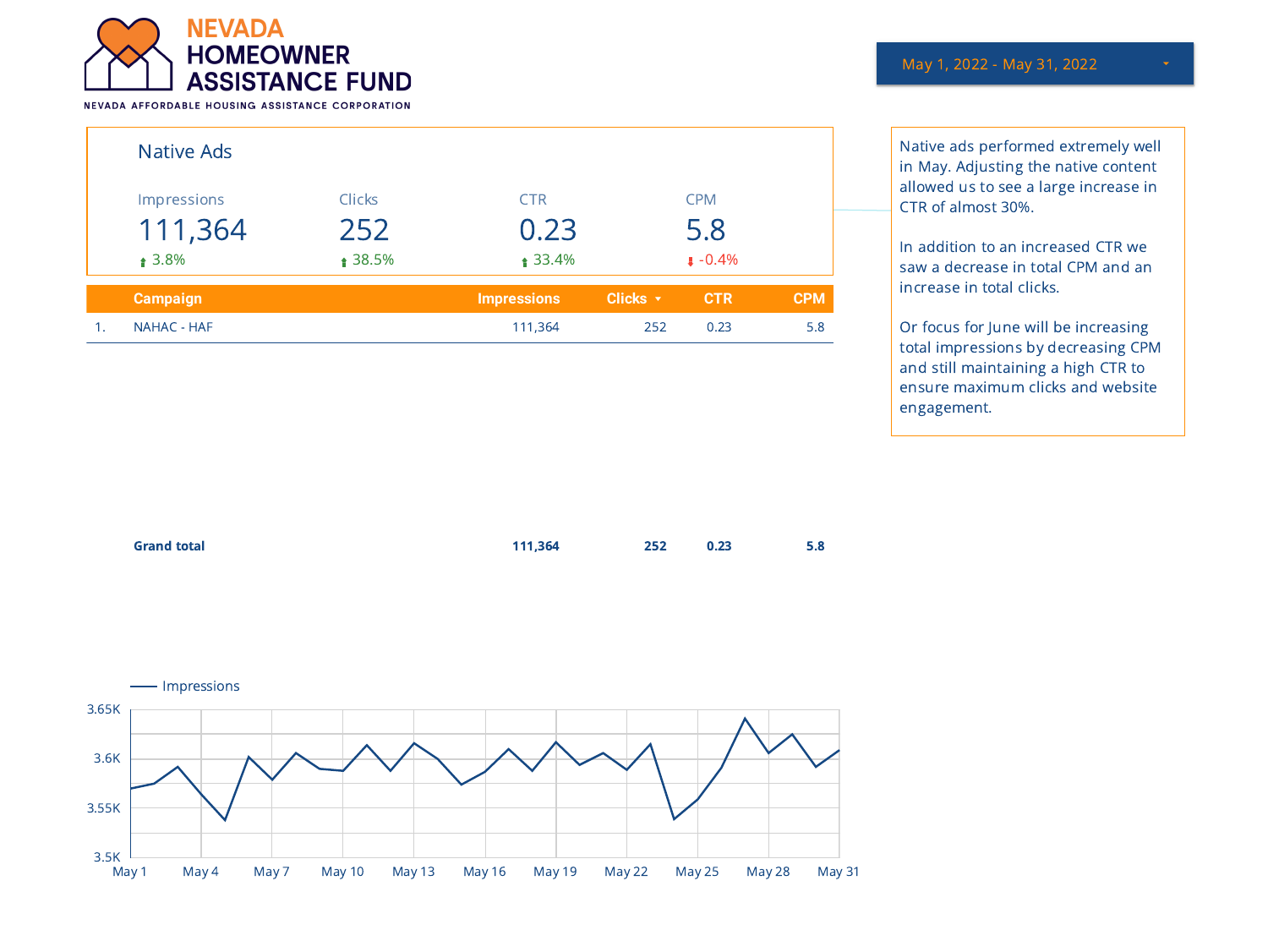

|    | Native Ads                            |                                 |                                 |                 |                               |            |
|----|---------------------------------------|---------------------------------|---------------------------------|-----------------|-------------------------------|------------|
|    | Impressions<br>111,364<br>$\pm 3.8\%$ | <b>Clicks</b><br>252<br>≜ 38.5% | <b>CTR</b><br>0.23<br>$$33.4\%$ |                 | <b>CPM</b><br>5.8<br>$-0.4\%$ |            |
|    | <b>Campaign</b>                       |                                 | <b>Impressions</b>              | Clicks <b>v</b> | <b>CTR</b>                    | <b>CPM</b> |
| 1. | NAHAC - HAF                           |                                 | 111,364                         | 252             | 0.23                          | 5.8        |

May 1, 2022 - May 31, 2022

Native ads performed extremely well in May. Adjusting the native content allowed us to see a large increase in CTR of almost 30%.

In addition to an increased CTR we saw a decrease in total CPM and an increase in total clicks.

Or focus for June will be increasing total impressions by decreasing CPM and still maintaining a high CTR to ensure maximum clicks and website engagement.

| <b>Grand total</b> | 111,364 | 252 0.23 | 5.8 |
|--------------------|---------|----------|-----|
|                    |         |          |     |